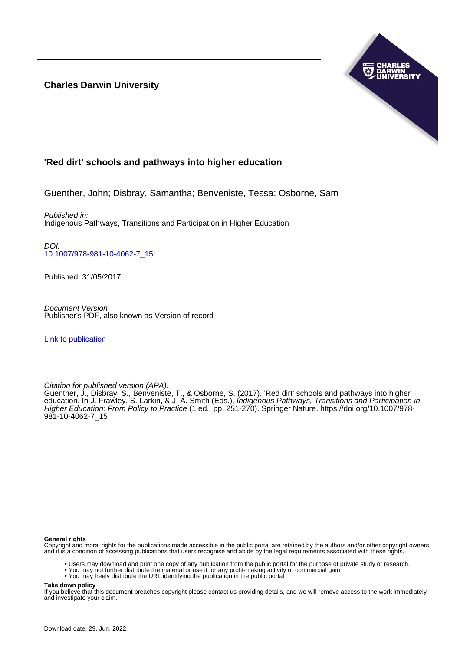# **Charles Darwin University**



# **'Red dirt' schools and pathways into higher education**

Guenther, John; Disbray, Samantha; Benveniste, Tessa; Osborne, Sam

Published in: Indigenous Pathways, Transitions and Participation in Higher Education

DOI: [10.1007/978-981-10-4062-7\\_15](https://doi.org/10.1007/978-981-10-4062-7_15)

Published: 31/05/2017

Document Version Publisher's PDF, also known as Version of record

[Link to publication](https://researchers.cdu.edu.au/en/publications/a798bcc9-a4e9-47ba-b99d-28d4afc6c0e0)

Citation for published version (APA):

Guenther, J., Disbray, S., Benveniste, T., & Osborne, S. (2017). 'Red dirt' schools and pathways into higher education. In J. Frawley, S. Larkin, & J. A. Smith (Eds.), Indigenous Pathways, Transitions and Participation in Higher Education: From Policy to Practice (1 ed., pp. 251-270). Springer Nature. [https://doi.org/10.1007/978-](https://doi.org/10.1007/978-981-10-4062-7_15) [981-10-4062-7\\_15](https://doi.org/10.1007/978-981-10-4062-7_15)

#### **General rights**

Copyright and moral rights for the publications made accessible in the public portal are retained by the authors and/or other copyright owners and it is a condition of accessing publications that users recognise and abide by the legal requirements associated with these rights.

- Users may download and print one copy of any publication from the public portal for the purpose of private study or research.
- You may not further distribute the material or use it for any profit-making activity or commercial gain
- You may freely distribute the URL identifying the publication in the public portal

**Take down policy**

If you believe that this document breaches copyright please contact us providing details, and we will remove access to the work immediately and investigate your claim.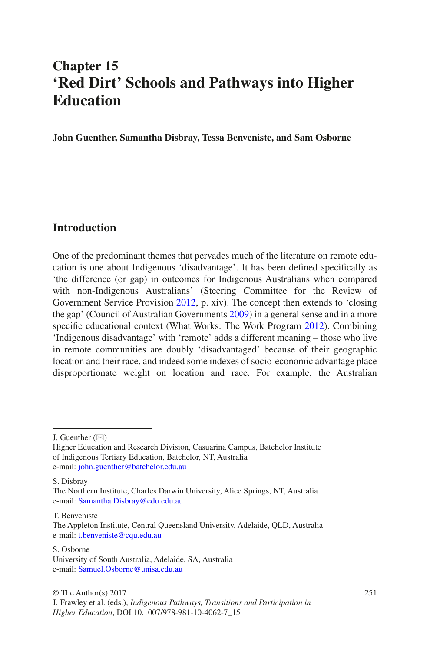# **Chapter 15 'Red Dirt' Schools and Pathways into Higher Education**

**John Guenther, Samantha Disbray, Tessa Benveniste, and Sam Osborne**

### **Introduction**

One of the predominant themes that pervades much of the literature on remote education is one about Indigenous 'disadvantage'. It has been defined specifically as 'the difference (or gap) in outcomes for Indigenous Australians when compared with non-Indigenous Australians' (Steering Committee for the Review of Government Service Provision [2012](#page-20-0), p. xiv). The concept then extends to 'closing the gap' (Council of Australian Governments [2009\)](#page-17-0) in a general sense and in a more specific educational context (What Works: The Work Program [2012](#page-20-1)). Combining 'Indigenous disadvantage' with 'remote' adds a different meaning – those who live in remote communities are doubly 'disadvantaged' because of their geographic location and their race, and indeed some indexes of socio-economic advantage place disproportionate weight on location and race. For example, the Australian

S. Disbray

T. Benveniste

S. Osborne University of South Australia, Adelaide, SA, Australia e-mail: [Samuel.Osborne@unisa.edu.au](mailto:Samuel.Osborne@unisa.edu.au)

J. Guenther  $(\boxtimes)$ 

Higher Education and Research Division, Casuarina Campus, Batchelor Institute of Indigenous Tertiary Education, Batchelor, NT, Australia e-mail: [john.guenther@batchelor.edu.au](mailto:john.guenther@batchelor.edu.au)

The Northern Institute, Charles Darwin University, Alice Springs, NT, Australia e-mail: [Samantha.Disbray@cdu.edu.au](mailto:Samantha.Disbray@cdu.edu.au)

The Appleton Institute, Central Queensland University, Adelaide, QLD, Australia e-mail: [t.benveniste@cqu.edu.au](mailto:t.benveniste@cqu.edu.au)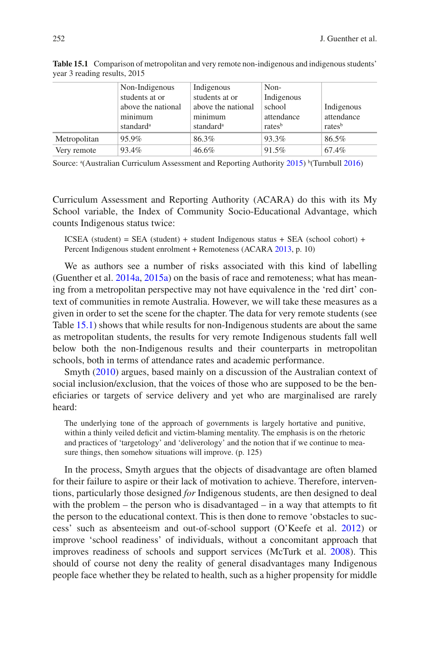|              | Non-Indigenous        | Indigenous            | Non-               |                    |  |
|--------------|-----------------------|-----------------------|--------------------|--------------------|--|
|              | students at or        | students at or        | Indigenous         | Indigenous         |  |
|              | above the national    | above the national    | school             |                    |  |
|              | minimum               | minimum               | attendance         | attendance         |  |
|              | standard <sup>a</sup> | standard <sup>a</sup> | rates <sup>b</sup> | rates <sup>b</sup> |  |
| Metropolitan | 95.9%                 | 86.3%                 | 93.3%              | 86.5%              |  |
| Very remote  | 93.4%                 | 46.6%                 | 91.5%              | 67.4%              |  |

<span id="page-2-0"></span>**Table 15.1** Comparison of metropolitan and very remote non-indigenous and indigenous students' year 3 reading results, 2015

Source: <sup>a</sup>(Australian Curriculum Assessment and Reporting Authority [2015\)](#page-17-1) <sup>b</sup>(Turnbull [2016\)](#page-20-3)

Curriculum Assessment and Reporting Authority (ACARA) do this with its My School variable, the Index of Community Socio-Educational Advantage, which counts Indigenous status twice:

ICSEA (student) = SEA (student) + student Indigenous status + SEA (school cohort) + Percent Indigenous student enrolment + Remoteness (ACARA [2013](#page-16-0), p. 10)

We as authors see a number of risks associated with this kind of labelling (Guenther et al. [2014a,](#page-18-0) [2015a\)](#page-18-1) on the basis of race and remoteness; what has meaning from a metropolitan perspective may not have equivalence in the 'red dirt' context of communities in remote Australia. However, we will take these measures as a given in order to set the scene for the chapter. The data for very remote students (see Table [15.1\)](#page-2-0) shows that while results for non-Indigenous students are about the same as metropolitan students, the results for very remote Indigenous students fall well below both the non-Indigenous results and their counterparts in metropolitan schools, both in terms of attendance rates and academic performance.

Smyth [\(2010](#page-20-2)) argues, based mainly on a discussion of the Australian context of social inclusion/exclusion, that the voices of those who are supposed to be the beneficiaries or targets of service delivery and yet who are marginalised are rarely heard:

The underlying tone of the approach of governments is largely hortative and punitive, within a thinly veiled deficit and victim-blaming mentality. The emphasis is on the rhetoric and practices of 'targetology' and 'deliverology' and the notion that if we continue to measure things, then somehow situations will improve. (p. 125)

In the process, Smyth argues that the objects of disadvantage are often blamed for their failure to aspire or their lack of motivation to achieve. Therefore, interventions, particularly those designed *for* Indigenous students, are then designed to deal with the problem – the person who is disadvantaged – in a way that attempts to fit the person to the educational context. This is then done to remove 'obstacles to success' such as absenteeism and out-of-school support (O'Keefe et al. [2012](#page-19-0)) or improve 'school readiness' of individuals, without a concomitant approach that improves readiness of schools and support services (McTurk et al. [2008\)](#page-19-1). This should of course not deny the reality of general disadvantages many Indigenous people face whether they be related to health, such as a higher propensity for middle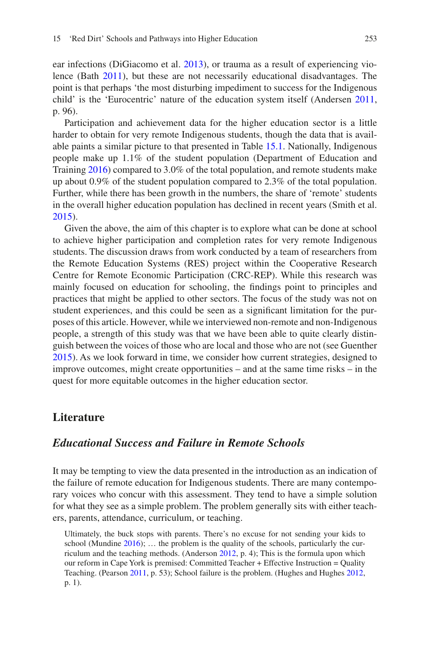ear infections (DiGiacomo et al. [2013\)](#page-17-2), or trauma as a result of experiencing violence (Bath [2011](#page-17-3)), but these are not necessarily educational disadvantages. The point is that perhaps 'the most disturbing impediment to success for the Indigenous child' is the 'Eurocentric' nature of the education system itself (Andersen [2011](#page-17-4), p. 96).

Participation and achievement data for the higher education sector is a little harder to obtain for very remote Indigenous students, though the data that is available paints a similar picture to that presented in Table [15.1](#page-2-0). Nationally, Indigenous people make up 1.1% of the student population (Department of Education and Training [2016](#page-17-5)) compared to 3.0% of the total population, and remote students make up about 0.9% of the student population compared to 2.3% of the total population. Further, while there has been growth in the numbers, the share of 'remote' students in the overall higher education population has declined in recent years (Smith et al. [2015\)](#page-19-2).

Given the above, the aim of this chapter is to explore what can be done at school to achieve higher participation and completion rates for very remote Indigenous students. The discussion draws from work conducted by a team of researchers from the Remote Education Systems (RES) project within the Cooperative Research Centre for Remote Economic Participation (CRC-REP). While this research was mainly focused on education for schooling, the findings point to principles and practices that might be applied to other sectors. The focus of the study was not on student experiences, and this could be seen as a significant limitation for the purposes of this article. However, while we interviewed non-remote and non-Indigenous people, a strength of this study was that we have been able to quite clearly distinguish between the voices of those who are local and those who are not (see Guenther [2015\)](#page-18-2). As we look forward in time, we consider how current strategies, designed to improve outcomes, might create opportunities – and at the same time risks – in the quest for more equitable outcomes in the higher education sector.

### **Literature**

### *Educational Success and Failure in Remote Schools*

It may be tempting to view the data presented in the introduction as an indication of the failure of remote education for Indigenous students. There are many contemporary voices who concur with this assessment. They tend to have a simple solution for what they see as a simple problem. The problem generally sits with either teachers, parents, attendance, curriculum, or teaching.

Ultimately, the buck stops with parents. There's no excuse for not sending your kids to school (Mundine  $2016$ ); ... the problem is the quality of the schools, particularly the curriculum and the teaching methods. (Anderson [2012](#page-17-6), p. 4); This is the formula upon which our reform in Cape York is premised: Committed Teacher + Effective Instruction = Quality Teaching. (Pearson [2011,](#page-19-4) p. 53); School failure is the problem. (Hughes and Hughes [2012](#page-18-3), p. 1).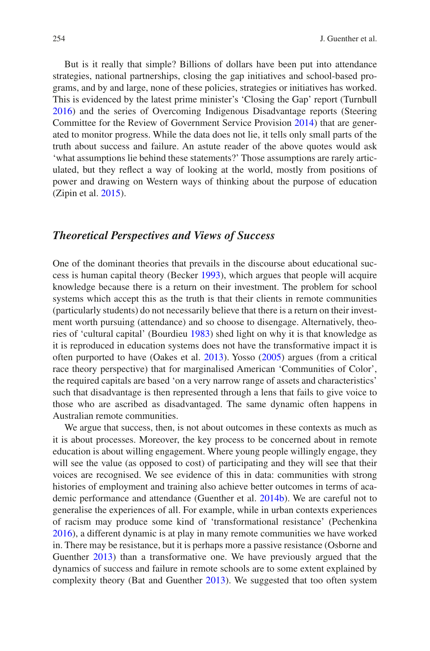But is it really that simple? Billions of dollars have been put into attendance strategies, national partnerships, closing the gap initiatives and school-based programs, and by and large, none of these policies, strategies or initiatives has worked. This is evidenced by the latest prime minister's 'Closing the Gap' report (Turnbull [2016\)](#page-20-3) and the series of Overcoming Indigenous Disadvantage reports (Steering Committee for the Review of Government Service Provision [2014](#page-20-4)) that are generated to monitor progress. While the data does not lie, it tells only small parts of the truth about success and failure. An astute reader of the above quotes would ask 'what assumptions lie behind these statements?' Those assumptions are rarely articulated, but they reflect a way of looking at the world, mostly from positions of power and drawing on Western ways of thinking about the purpose of education (Zipin et al. [2015](#page-20-5)).

### *Theoretical Perspectives and Views of Success*

One of the dominant theories that prevails in the discourse about educational success is human capital theory (Becker [1993](#page-17-7)), which argues that people will acquire knowledge because there is a return on their investment. The problem for school systems which accept this as the truth is that their clients in remote communities (particularly students) do not necessarily believe that there is a return on their investment worth pursuing (attendance) and so choose to disengage. Alternatively, theories of 'cultural capital' (Bourdieu [1983\)](#page-17-8) shed light on why it is that knowledge as it is reproduced in education systems does not have the transformative impact it is often purported to have (Oakes et al. [2013\)](#page-19-5). Yosso ([2005\)](#page-20-6) argues (from a critical race theory perspective) that for marginalised American 'Communities of Color', the required capitals are based 'on a very narrow range of assets and characteristics' such that disadvantage is then represented through a lens that fails to give voice to those who are ascribed as disadvantaged. The same dynamic often happens in Australian remote communities.

We argue that success, then, is not about outcomes in these contexts as much as it is about processes. Moreover, the key process to be concerned about in remote education is about willing engagement. Where young people willingly engage, they will see the value (as opposed to cost) of participating and they will see that their voices are recognised. We see evidence of this in data: communities with strong histories of employment and training also achieve better outcomes in terms of academic performance and attendance (Guenther et al. [2014b\)](#page-18-4). We are careful not to generalise the experiences of all. For example, while in urban contexts experiences of racism may produce some kind of 'transformational resistance' (Pechenkina [2016\)](#page-19-6), a different dynamic is at play in many remote communities we have worked in. There may be resistance, but it is perhaps more a passive resistance (Osborne and Guenther [2013](#page-19-7)) than a transformative one. We have previously argued that the dynamics of success and failure in remote schools are to some extent explained by complexity theory (Bat and Guenther [2013\)](#page-17-9). We suggested that too often system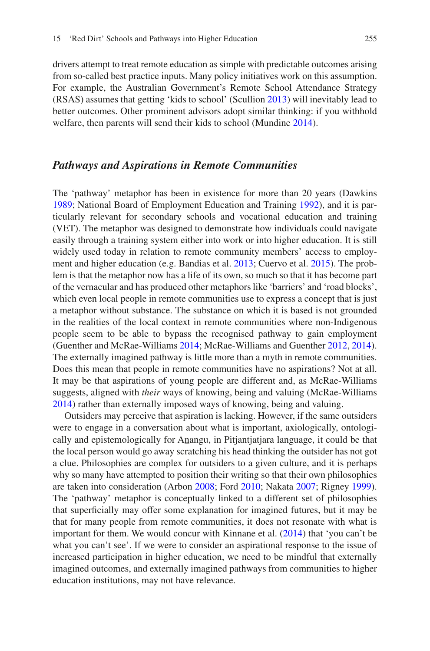drivers attempt to treat remote education as simple with predictable outcomes arising from so-called best practice inputs. Many policy initiatives work on this assumption. For example, the Australian Government's Remote School Attendance Strategy (RSAS) assumes that getting 'kids to school' (Scullion [2013](#page-19-8)) will inevitably lead to better outcomes. Other prominent advisors adopt similar thinking: if you withhold welfare, then parents will send their kids to school (Mundine [2014\)](#page-19-9).

#### *Pathways and Aspirations in Remote Communities*

The 'pathway' metaphor has been in existence for more than 20 years (Dawkins [1989;](#page-17-10) National Board of Employment Education and Training [1992](#page-19-10)), and it is particularly relevant for secondary schools and vocational education and training (VET). The metaphor was designed to demonstrate how individuals could navigate easily through a training system either into work or into higher education. It is still widely used today in relation to remote community members' access to employment and higher education (e.g. Bandias et al. [2013](#page-17-11); Cuervo et al. [2015\)](#page-17-12). The problem is that the metaphor now has a life of its own, so much so that it has become part of the vernacular and has produced other metaphors like 'barriers' and 'road blocks', which even local people in remote communities use to express a concept that is just a metaphor without substance. The substance on which it is based is not grounded in the realities of the local context in remote communities where non-Indigenous people seem to be able to bypass the recognised pathway to gain employment (Guenther and McRae-Williams [2014;](#page-18-5) McRae-Williams and Guenther [2012](#page-18-6), [2014\)](#page-19-11). The externally imagined pathway is little more than a myth in remote communities. Does this mean that people in remote communities have no aspirations? Not at all. It may be that aspirations of young people are different and, as McRae-Williams suggests, aligned with *their* ways of knowing, being and valuing (McRae-Williams [2014\)](#page-18-7) rather than externally imposed ways of knowing, being and valuing.

Outsiders may perceive that aspiration is lacking. However, if the same outsiders were to engage in a conversation about what is important, axiologically, ontologically and epistemologically for Anangu, in Pitjantjatjara language, it could be that the local person would go away scratching his head thinking the outsider has not got a clue. Philosophies are complex for outsiders to a given culture, and it is perhaps why so many have attempted to position their writing so that their own philosophies are taken into consideration (Arbon [2008](#page-17-13); Ford [2010](#page-18-8); Nakata [2007;](#page-19-12) Rigney [1999\)](#page-19-13). The 'pathway' metaphor is conceptually linked to a different set of philosophies that superficially may offer some explanation for imagined futures, but it may be that for many people from remote communities, it does not resonate with what is important for them. We would concur with Kinnane et al. [\(2014](#page-18-9)) that 'you can't be what you can't see'. If we were to consider an aspirational response to the issue of increased participation in higher education, we need to be mindful that externally imagined outcomes, and externally imagined pathways from communities to higher education institutions, may not have relevance.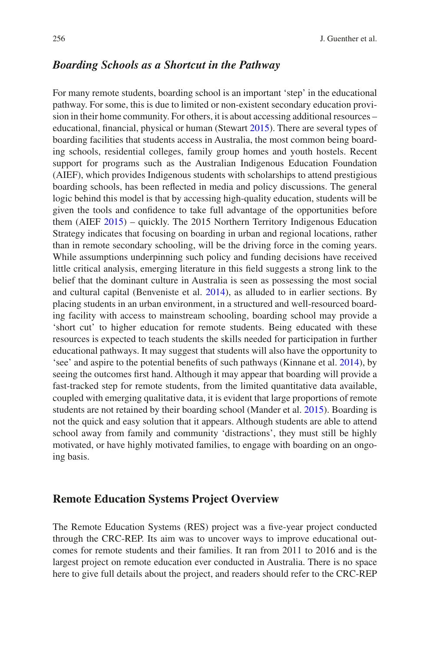### *Boarding Schools as a Shortcut in the Pathway*

For many remote students, boarding school is an important 'step' in the educational pathway. For some, this is due to limited or non-existent secondary education provision in their home community. For others, it is about accessing additional resources – educational, financial, physical or human (Stewart [2015\)](#page-20-7). There are several types of boarding facilities that students access in Australia, the most common being boarding schools, residential colleges, family group homes and youth hostels. Recent support for programs such as the Australian Indigenous Education Foundation (AIEF), which provides Indigenous students with scholarships to attend prestigious boarding schools, has been reflected in media and policy discussions. The general logic behind this model is that by accessing high-quality education, students will be given the tools and confidence to take full advantage of the opportunities before them (AIEF [2015](#page-16-1)) – quickly. The 2015 Northern Territory Indigenous Education Strategy indicates that focusing on boarding in urban and regional locations, rather than in remote secondary schooling, will be the driving force in the coming years. While assumptions underpinning such policy and funding decisions have received little critical analysis, emerging literature in this field suggests a strong link to the belief that the dominant culture in Australia is seen as possessing the most social and cultural capital (Benveniste et al. [2014](#page-17-14)), as alluded to in earlier sections. By placing students in an urban environment, in a structured and well-resourced boarding facility with access to mainstream schooling, boarding school may provide a 'short cut' to higher education for remote students. Being educated with these resources is expected to teach students the skills needed for participation in further educational pathways. It may suggest that students will also have the opportunity to 'see' and aspire to the potential benefits of such pathways (Kinnane et al. [2014](#page-18-9)), by seeing the outcomes first hand. Although it may appear that boarding will provide a fast-tracked step for remote students, from the limited quantitative data available, coupled with emerging qualitative data, it is evident that large proportions of remote students are not retained by their boarding school (Mander et al. [2015](#page-18-10)). Boarding is not the quick and easy solution that it appears. Although students are able to attend school away from family and community 'distractions', they must still be highly motivated, or have highly motivated families, to engage with boarding on an ongoing basis.

#### **Remote Education Systems Project Overview**

The Remote Education Systems (RES) project was a five-year project conducted through the CRC-REP. Its aim was to uncover ways to improve educational outcomes for remote students and their families. It ran from 2011 to 2016 and is the largest project on remote education ever conducted in Australia. There is no space here to give full details about the project, and readers should refer to the CRC-REP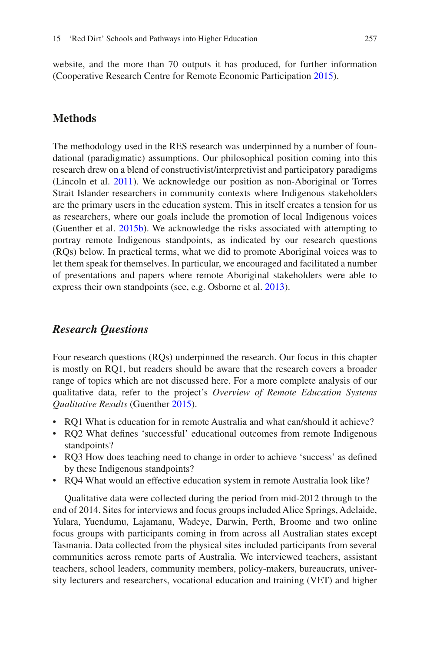website, and the more than 70 outputs it has produced, for further information (Cooperative Research Centre for Remote Economic Participation [2015\)](#page-17-15).

### **Methods**

The methodology used in the RES research was underpinned by a number of foundational (paradigmatic) assumptions. Our philosophical position coming into this research drew on a blend of constructivist/interpretivist and participatory paradigms (Lincoln et al. [2011](#page-18-11)). We acknowledge our position as non-Aboriginal or Torres Strait Islander researchers in community contexts where Indigenous stakeholders are the primary users in the education system. This in itself creates a tension for us as researchers, where our goals include the promotion of local Indigenous voices (Guenther et al. [2015b\)](#page-18-12). We acknowledge the risks associated with attempting to portray remote Indigenous standpoints, as indicated by our research questions (RQs) below. In practical terms, what we did to promote Aboriginal voices was to let them speak for themselves. In particular, we encouraged and facilitated a number of presentations and papers where remote Aboriginal stakeholders were able to express their own standpoints (see, e.g. Osborne et al. [2013\)](#page-19-14).

### *Research Questions*

Four research questions (RQs) underpinned the research. Our focus in this chapter is mostly on RQ1, but readers should be aware that the research covers a broader range of topics which are not discussed here. For a more complete analysis of our qualitative data, refer to the project's *Overview of Remote Education Systems Qualitative Results* (Guenther [2015\)](#page-18-2).

- RQ1 What is education for in remote Australia and what can/should it achieve?
- RQ2 What defines 'successful' educational outcomes from remote Indigenous standpoints?
- RQ3 How does teaching need to change in order to achieve 'success' as defined by these Indigenous standpoints?
- RQ4 What would an effective education system in remote Australia look like?

Qualitative data were collected during the period from mid-2012 through to the end of 2014. Sites for interviews and focus groups included Alice Springs, Adelaide, Yulara, Yuendumu, Lajamanu, Wadeye, Darwin, Perth, Broome and two online focus groups with participants coming in from across all Australian states except Tasmania. Data collected from the physical sites included participants from several communities across remote parts of Australia. We interviewed teachers, assistant teachers, school leaders, community members, policy-makers, bureaucrats, university lecturers and researchers, vocational education and training (VET) and higher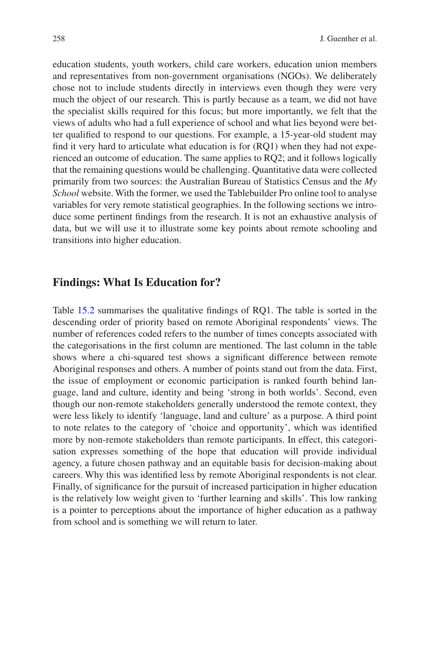education students, youth workers, child care workers, education union members and representatives from non-government organisations (NGOs). We deliberately chose not to include students directly in interviews even though they were very much the object of our research. This is partly because as a team, we did not have the specialist skills required for this focus; but more importantly, we felt that the views of adults who had a full experience of school and what lies beyond were better qualified to respond to our questions. For example, a 15-year-old student may find it very hard to articulate what education is for (RQ1) when they had not experienced an outcome of education. The same applies to RQ2; and it follows logically that the remaining questions would be challenging. Quantitative data were collected primarily from two sources: the Australian Bureau of Statistics Census and the *My School* website. With the former, we used the Tablebuilder Pro online tool to analyse variables for very remote statistical geographies. In the following sections we introduce some pertinent findings from the research. It is not an exhaustive analysis of data, but we will use it to illustrate some key points about remote schooling and transitions into higher education.

### **Findings: What Is Education for?**

Table [15.2](#page-9-0) summarises the qualitative findings of RQ1. The table is sorted in the descending order of priority based on remote Aboriginal respondents' views. The number of references coded refers to the number of times concepts associated with the categorisations in the first column are mentioned. The last column in the table shows where a chi-squared test shows a significant difference between remote Aboriginal responses and others. A number of points stand out from the data. First, the issue of employment or economic participation is ranked fourth behind language, land and culture, identity and being 'strong in both worlds'. Second, even though our non-remote stakeholders generally understood the remote context, they were less likely to identify 'language, land and culture' as a purpose. A third point to note relates to the category of 'choice and opportunity', which was identified more by non-remote stakeholders than remote participants. In effect, this categorisation expresses something of the hope that education will provide individual agency, a future chosen pathway and an equitable basis for decision-making about careers. Why this was identified less by remote Aboriginal respondents is not clear. Finally, of significance for the pursuit of increased participation in higher education is the relatively low weight given to 'further learning and skills'. This low ranking is a pointer to perceptions about the importance of higher education as a pathway from school and is something we will return to later.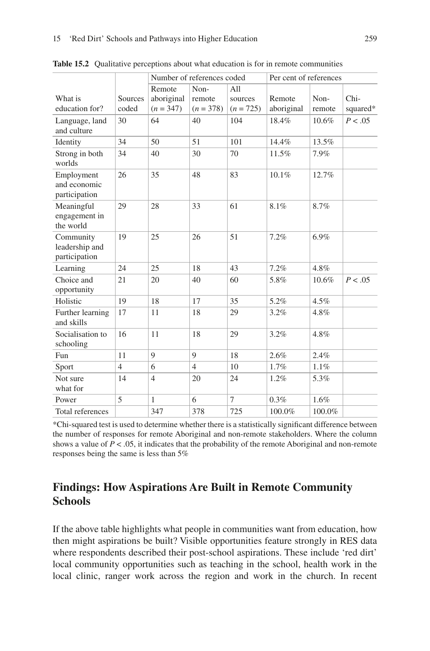|                                              |                | Number of references coded |                | Per cent of references |            |         |          |
|----------------------------------------------|----------------|----------------------------|----------------|------------------------|------------|---------|----------|
|                                              |                | Remote                     | Non-           | A11                    |            |         |          |
| What is                                      | Sources        | aboriginal                 | remote         | sources                | Remote     | Non-    | Chi-     |
| education for?                               | coded          | $(n = 347)$                | $(n = 378)$    | $(n = 725)$            | aboriginal | remote  | squared* |
| Language, land<br>and culture                | 30             | 64                         | 40             | 104                    | 18.4%      | 10.6%   | P < .05  |
| Identity                                     | 34             | 50                         | 51             | 101                    | 14.4%      | 13.5%   |          |
| Strong in both<br>worlds                     | 34             | 40                         | 30             | 70                     | 11.5%      | $7.9\%$ |          |
| Employment<br>and economic<br>participation  | 26             | 35                         | 48             | 83                     | 10.1%      | 12.7%   |          |
| Meaningful<br>engagement in<br>the world     | 29             | 28                         | 33             | 61                     | 8.1%       | 8.7%    |          |
| Community<br>leadership and<br>participation | 19             | 25                         | 26             | 51                     | 7.2%       | 6.9%    |          |
| Learning                                     | 24             | 25                         | 18             | 43                     | 7.2%       | 4.8%    |          |
| Choice and<br>opportunity                    | 21             | 20                         | 40             | 60                     | 5.8%       | 10.6%   | P < .05  |
| Holistic                                     | 19             | 18                         | 17             | 35                     | 5.2%       | 4.5%    |          |
| Further learning<br>and skills               | 17             | 11                         | 18             | 29                     | 3.2%       | 4.8%    |          |
| Socialisation to<br>schooling                | 16             | 11                         | 18             | 29                     | 3.2%       | 4.8%    |          |
| Fun                                          | 11             | 9                          | 9              | 18                     | 2.6%       | 2.4%    |          |
| Sport                                        | $\overline{4}$ | 6                          | $\overline{4}$ | 10                     | 1.7%       | 1.1%    |          |
| Not sure<br>what for                         | 14             | $\overline{4}$             | 20             | 24                     | $1.2\%$    | 5.3%    |          |
| Power                                        | 5              | $\mathbf{1}$               | 6              | $\overline{7}$         | 0.3%       | 1.6%    |          |
| Total references                             |                | 347                        | 378            | 725                    | 100.0%     | 100.0%  |          |

<span id="page-9-0"></span>**Table 15.2** Qualitative perceptions about what education is for in remote communities

\*Chi-squared test is used to determine whether there is a statistically significant difference between the number of responses for remote Aboriginal and non-remote stakeholders. Where the column shows a value of  $P < 0.05$ , it indicates that the probability of the remote Aboriginal and non-remote responses being the same is less than 5%

## **Findings: How Aspirations Are Built in Remote Community Schools**

If the above table highlights what people in communities want from education, how then might aspirations be built? Visible opportunities feature strongly in RES data where respondents described their post-school aspirations. These include 'red dirt' local community opportunities such as teaching in the school, health work in the local clinic, ranger work across the region and work in the church. In recent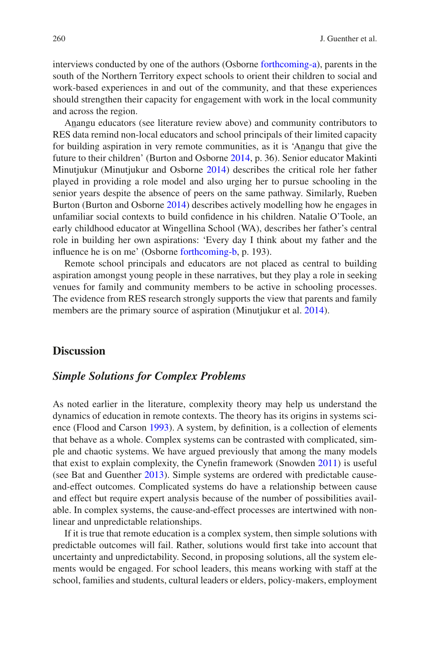interviews conducted by one of the authors (Osborne [forthcoming-a\)](#page-19-15), parents in the south of the Northern Territory expect schools to orient their children to social and work-based experiences in and out of the community, and that these experiences should strengthen their capacity for engagement with work in the local community and across the region.

Anangu educators (see literature review above) and community contributors to RES data remind non-local educators and school principals of their limited capacity for building aspiration in very remote communities, as it is 'Anangu that give the future to their children' (Burton and Osborne [2014,](#page-17-16) p. 36). Senior educator Makinti Minutjukur (Minutjukur and Osborne [2014](#page-19-16)) describes the critical role her father played in providing a role model and also urging her to pursue schooling in the senior years despite the absence of peers on the same pathway. Similarly, Rueben Burton (Burton and Osborne [2014](#page-17-16)) describes actively modelling how he engages in unfamiliar social contexts to build confidence in his children. Natalie O'Toole, an early childhood educator at Wingellina School (WA), describes her father's central role in building her own aspirations: 'Every day I think about my father and the influence he is on me' (Osborne [forthcoming-b](#page-19-17), p. 193).

Remote school principals and educators are not placed as central to building aspiration amongst young people in these narratives, but they play a role in seeking venues for family and community members to be active in schooling processes. The evidence from RES research strongly supports the view that parents and family members are the primary source of aspiration (Minutjukur et al. [2014](#page-19-18)).

#### **Discussion**

### *Simple Solutions for Complex Problems*

As noted earlier in the literature, complexity theory may help us understand the dynamics of education in remote contexts. The theory has its origins in systems science (Flood and Carson [1993\)](#page-17-17). A system, by definition, is a collection of elements that behave as a whole. Complex systems can be contrasted with complicated, simple and chaotic systems. We have argued previously that among the many models that exist to explain complexity, the Cynefin framework (Snowden [2011](#page-20-8)) is useful (see Bat and Guenther [2013\)](#page-17-9). Simple systems are ordered with predictable causeand-effect outcomes. Complicated systems do have a relationship between cause and effect but require expert analysis because of the number of possibilities available. In complex systems, the cause-and-effect processes are intertwined with nonlinear and unpredictable relationships.

If it is true that remote education is a complex system, then simple solutions with predictable outcomes will fail. Rather, solutions would first take into account that uncertainty and unpredictability. Second, in proposing solutions, all the system elements would be engaged. For school leaders, this means working with staff at the school, families and students, cultural leaders or elders, policy-makers, employment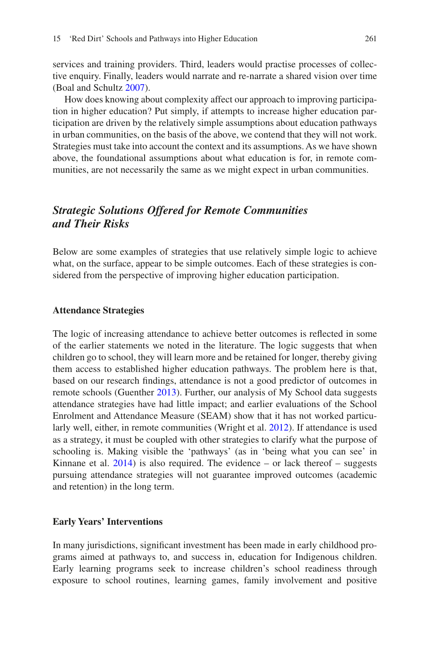services and training providers. Third, leaders would practise processes of collective enquiry. Finally, leaders would narrate and re-narrate a shared vision over time (Boal and Schultz [2007](#page-17-18)).

How does knowing about complexity affect our approach to improving participation in higher education? Put simply, if attempts to increase higher education participation are driven by the relatively simple assumptions about education pathways in urban communities, on the basis of the above, we contend that they will not work. Strategies must take into account the context and its assumptions. As we have shown above, the foundational assumptions about what education is for, in remote communities, are not necessarily the same as we might expect in urban communities.

### *Strategic Solutions Offered for Remote Communities and Their Risks*

Below are some examples of strategies that use relatively simple logic to achieve what, on the surface, appear to be simple outcomes. Each of these strategies is considered from the perspective of improving higher education participation.

#### **Attendance Strategies**

The logic of increasing attendance to achieve better outcomes is reflected in some of the earlier statements we noted in the literature. The logic suggests that when children go to school, they will learn more and be retained for longer, thereby giving them access to established higher education pathways. The problem here is that, based on our research findings, attendance is not a good predictor of outcomes in remote schools (Guenther [2013](#page-18-13)). Further, our analysis of My School data suggests attendance strategies have had little impact; and earlier evaluations of the School Enrolment and Attendance Measure (SEAM) show that it has not worked particularly well, either, in remote communities (Wright et al. [2012](#page-20-9)). If attendance is used as a strategy, it must be coupled with other strategies to clarify what the purpose of schooling is. Making visible the 'pathways' (as in 'being what you can see' in Kinnane et al.  $2014$ ) is also required. The evidence – or lack thereof – suggests pursuing attendance strategies will not guarantee improved outcomes (academic and retention) in the long term.

#### **Early Years' Interventions**

In many jurisdictions, significant investment has been made in early childhood programs aimed at pathways to, and success in, education for Indigenous children. Early learning programs seek to increase children's school readiness through exposure to school routines, learning games, family involvement and positive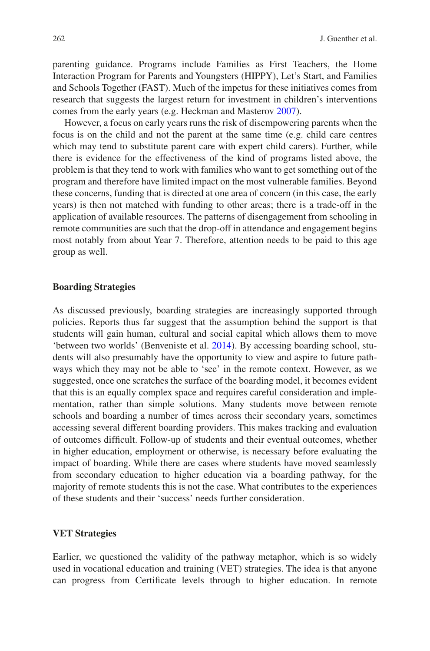parenting guidance. Programs include Families as First Teachers, the Home Interaction Program for Parents and Youngsters (HIPPY), Let's Start, and Families and Schools Together (FAST). Much of the impetus for these initiatives comes from research that suggests the largest return for investment in children's interventions comes from the early years (e.g. Heckman and Masterov [2007\)](#page-18-14).

However, a focus on early years runs the risk of disempowering parents when the focus is on the child and not the parent at the same time (e.g. child care centres which may tend to substitute parent care with expert child carers). Further, while there is evidence for the effectiveness of the kind of programs listed above, the problem is that they tend to work with families who want to get something out of the program and therefore have limited impact on the most vulnerable families. Beyond these concerns, funding that is directed at one area of concern (in this case, the early years) is then not matched with funding to other areas; there is a trade-off in the application of available resources. The patterns of disengagement from schooling in remote communities are such that the drop-off in attendance and engagement begins most notably from about Year 7. Therefore, attention needs to be paid to this age group as well.

#### **Boarding Strategies**

As discussed previously, boarding strategies are increasingly supported through policies. Reports thus far suggest that the assumption behind the support is that students will gain human, cultural and social capital which allows them to move 'between two worlds' (Benveniste et al. [2014\)](#page-17-14). By accessing boarding school, students will also presumably have the opportunity to view and aspire to future pathways which they may not be able to 'see' in the remote context. However, as we suggested, once one scratches the surface of the boarding model, it becomes evident that this is an equally complex space and requires careful consideration and implementation, rather than simple solutions. Many students move between remote schools and boarding a number of times across their secondary years, sometimes accessing several different boarding providers. This makes tracking and evaluation of outcomes difficult. Follow-up of students and their eventual outcomes, whether in higher education, employment or otherwise, is necessary before evaluating the impact of boarding. While there are cases where students have moved seamlessly from secondary education to higher education via a boarding pathway, for the majority of remote students this is not the case. What contributes to the experiences of these students and their 'success' needs further consideration.

#### **VET Strategies**

Earlier, we questioned the validity of the pathway metaphor, which is so widely used in vocational education and training (VET) strategies. The idea is that anyone can progress from Certificate levels through to higher education. In remote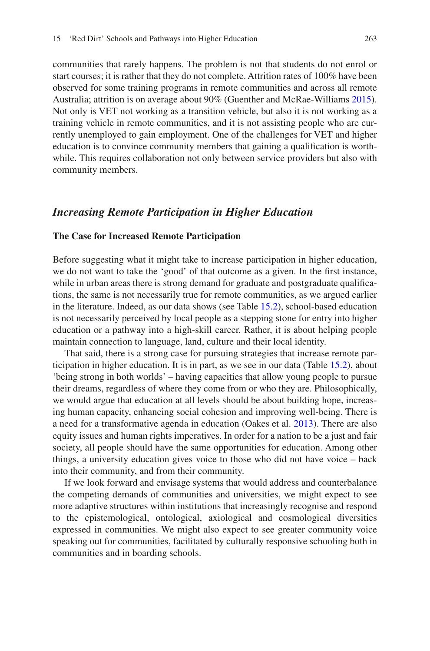communities that rarely happens. The problem is not that students do not enrol or start courses; it is rather that they do not complete. Attrition rates of 100% have been observed for some training programs in remote communities and across all remote Australia; attrition is on average about 90% (Guenther and McRae-Williams [2015\)](#page-18-15). Not only is VET not working as a transition vehicle, but also it is not working as a training vehicle in remote communities, and it is not assisting people who are currently unemployed to gain employment. One of the challenges for VET and higher education is to convince community members that gaining a qualification is worthwhile. This requires collaboration not only between service providers but also with community members.

#### *Increasing Remote Participation in Higher Education*

#### **The Case for Increased Remote Participation**

Before suggesting what it might take to increase participation in higher education, we do not want to take the 'good' of that outcome as a given. In the first instance, while in urban areas there is strong demand for graduate and postgraduate qualifications, the same is not necessarily true for remote communities, as we argued earlier in the literature. Indeed, as our data shows (see Table [15.2\)](#page-9-0), school-based education is not necessarily perceived by local people as a stepping stone for entry into higher education or a pathway into a high-skill career. Rather, it is about helping people maintain connection to language, land, culture and their local identity.

That said, there is a strong case for pursuing strategies that increase remote participation in higher education. It is in part, as we see in our data (Table [15.2](#page-9-0)), about 'being strong in both worlds' – having capacities that allow young people to pursue their dreams, regardless of where they come from or who they are. Philosophically, we would argue that education at all levels should be about building hope, increasing human capacity, enhancing social cohesion and improving well-being. There is a need for a transformative agenda in education (Oakes et al. [2013](#page-19-5)). There are also equity issues and human rights imperatives. In order for a nation to be a just and fair society, all people should have the same opportunities for education. Among other things, a university education gives voice to those who did not have voice – back into their community, and from their community.

If we look forward and envisage systems that would address and counterbalance the competing demands of communities and universities, we might expect to see more adaptive structures within institutions that increasingly recognise and respond to the epistemological, ontological, axiological and cosmological diversities expressed in communities. We might also expect to see greater community voice speaking out for communities, facilitated by culturally responsive schooling both in communities and in boarding schools.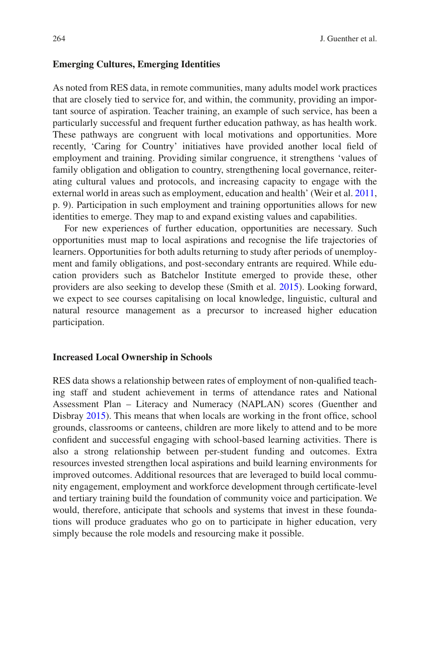#### **Emerging Cultures, Emerging Identities**

As noted from RES data, in remote communities, many adults model work practices that are closely tied to service for, and within, the community, providing an important source of aspiration. Teacher training, an example of such service, has been a particularly successful and frequent further education pathway, as has health work. These pathways are congruent with local motivations and opportunities. More recently, 'Caring for Country' initiatives have provided another local field of employment and training. Providing similar congruence, it strengthens 'values of family obligation and obligation to country, strengthening local governance, reiterating cultural values and protocols, and increasing capacity to engage with the external world in areas such as employment, education and health' (Weir et al. [2011](#page-20-10), p. 9). Participation in such employment and training opportunities allows for new identities to emerge. They map to and expand existing values and capabilities.

For new experiences of further education, opportunities are necessary. Such opportunities must map to local aspirations and recognise the life trajectories of learners. Opportunities for both adults returning to study after periods of unemployment and family obligations, and post-secondary entrants are required. While education providers such as Batchelor Institute emerged to provide these, other providers are also seeking to develop these (Smith et al. [2015](#page-19-2)). Looking forward, we expect to see courses capitalising on local knowledge, linguistic, cultural and natural resource management as a precursor to increased higher education participation.

#### **Increased Local Ownership in Schools**

RES data shows a relationship between rates of employment of non-qualified teaching staff and student achievement in terms of attendance rates and National Assessment Plan - Literacy and Numeracy (NAPLAN) scores (Guenther and Disbray [2015](#page-18-16)). This means that when locals are working in the front office, school grounds, classrooms or canteens, children are more likely to attend and to be more confident and successful engaging with school-based learning activities. There is also a strong relationship between per-student funding and outcomes. Extra resources invested strengthen local aspirations and build learning environments for improved outcomes. Additional resources that are leveraged to build local community engagement, employment and workforce development through certificate-level and tertiary training build the foundation of community voice and participation. We would, therefore, anticipate that schools and systems that invest in these foundations will produce graduates who go on to participate in higher education, very simply because the role models and resourcing make it possible.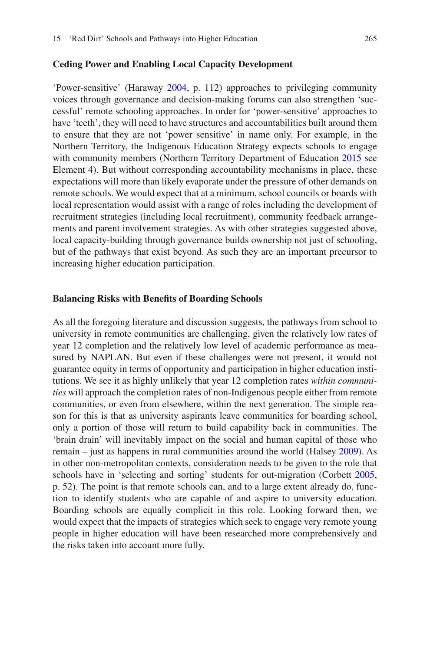#### **Ceding Power and Enabling Local Capacity Development**

'Power-sensitive' (Haraway [2004,](#page-18-17) p. 112) approaches to privileging community voices through governance and decision-making forums can also strengthen 'successful' remote schooling approaches. In order for 'power-sensitive' approaches to have 'teeth', they will need to have structures and accountabilities built around them to ensure that they are not 'power sensitive' in name only. For example, in the Northern Territory, the Indigenous Education Strategy expects schools to engage with community members (Northern Territory Department of Education [2015](#page-19-19) see Element 4). But without corresponding accountability mechanisms in place, these expectations will more than likely evaporate under the pressure of other demands on remote schools. We would expect that at a minimum, school councils or boards with local representation would assist with a range of roles including the development of recruitment strategies (including local recruitment), community feedback arrangements and parent involvement strategies. As with other strategies suggested above, local capacity-building through governance builds ownership not just of schooling, but of the pathways that exist beyond. As such they are an important precursor to increasing higher education participation.

#### **Balancing Risks with Benefits of Boarding Schools**

As all the foregoing literature and discussion suggests, the pathways from school to university in remote communities are challenging, given the relatively low rates of year 12 completion and the relatively low level of academic performance as measured by NAPLAN. But even if these challenges were not present, it would not guarantee equity in terms of opportunity and participation in higher education institutions. We see it as highly unlikely that year 12 completion rates *within communities* will approach the completion rates of non-Indigenous people either from remote communities, or even from elsewhere, within the next generation. The simple reason for this is that as university aspirants leave communities for boarding school, only a portion of those will return to build capability back in communities. The 'brain drain' will inevitably impact on the social and human capital of those who remain – just as happens in rural communities around the world (Halsey [2009](#page-18-18)). As in other non-metropolitan contexts, consideration needs to be given to the role that schools have in 'selecting and sorting' students for out-migration (Corbett [2005](#page-17-19), p. 52). The point is that remote schools can, and to a large extent already do, function to identify students who are capable of and aspire to university education. Boarding schools are equally complicit in this role. Looking forward then, we would expect that the impacts of strategies which seek to engage very remote young people in higher education will have been researched more comprehensively and the risks taken into account more fully.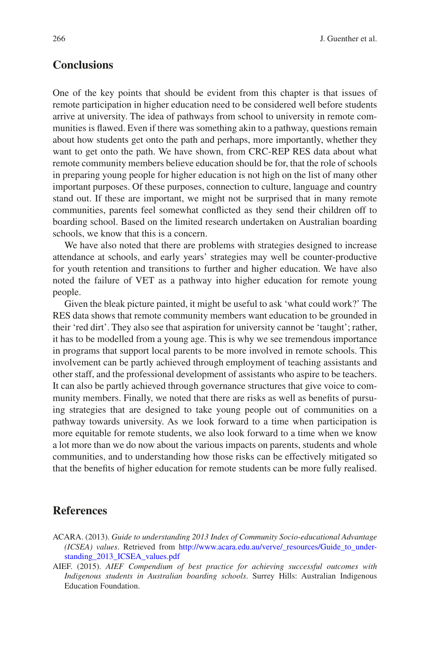### **Conclusions**

One of the key points that should be evident from this chapter is that issues of remote participation in higher education need to be considered well before students arrive at university. The idea of pathways from school to university in remote communities is flawed. Even if there was something akin to a pathway, questions remain about how students get onto the path and perhaps, more importantly, whether they want to get onto the path. We have shown, from CRC-REP RES data about what remote community members believe education should be for, that the role of schools in preparing young people for higher education is not high on the list of many other important purposes. Of these purposes, connection to culture, language and country stand out. If these are important, we might not be surprised that in many remote communities, parents feel somewhat conflicted as they send their children off to boarding school. Based on the limited research undertaken on Australian boarding schools, we know that this is a concern.

We have also noted that there are problems with strategies designed to increase attendance at schools, and early years' strategies may well be counter-productive for youth retention and transitions to further and higher education. We have also noted the failure of VET as a pathway into higher education for remote young people.

Given the bleak picture painted, it might be useful to ask 'what could work?' The RES data shows that remote community members want education to be grounded in their 'red dirt'. They also see that aspiration for university cannot be 'taught'; rather, it has to be modelled from a young age. This is why we see tremendous importance in programs that support local parents to be more involved in remote schools. This involvement can be partly achieved through employment of teaching assistants and other staff, and the professional development of assistants who aspire to be teachers. It can also be partly achieved through governance structures that give voice to community members. Finally, we noted that there are risks as well as benefits of pursuing strategies that are designed to take young people out of communities on a pathway towards university. As we look forward to a time when participation is more equitable for remote students, we also look forward to a time when we know a lot more than we do now about the various impacts on parents, students and whole communities, and to understanding how those risks can be effectively mitigated so that the benefits of higher education for remote students can be more fully realised.

### **References**

- <span id="page-16-0"></span>ACARA. (2013). *Guide to understanding 2013 Index of Community Socio-educational Advantage (ICSEA) values*. Retrieved from [http://www.acara.edu.au/verve/\\_resources/Guide\\_to\\_under](http://www.acara.edu.au/verve/_resources/Guide_to_understanding_2013_ICSEA_values.pdf)[standing\\_2013\\_ICSEA\\_values.pdf](http://www.acara.edu.au/verve/_resources/Guide_to_understanding_2013_ICSEA_values.pdf)
- <span id="page-16-1"></span>AIEF. (2015). *AIEF Compendium of best practice for achieving successful outcomes with Indigenous students in Australian boarding schools*. Surrey Hills: Australian Indigenous Education Foundation.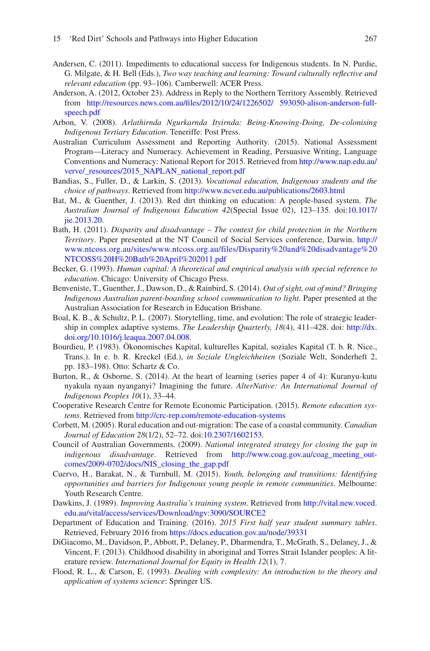- <span id="page-17-4"></span>Andersen, C. (2011). Impediments to educational success for Indigenous students. In N. Purdie, G. Milgate, & H. Bell (Eds.), *Two way teaching and learning: Toward culturally reflective and relevant education* (pp. 93–106). Camberwell: ACER Press.
- <span id="page-17-6"></span>Anderson, A. (2012, October 23). Address in Reply to the Northern Territory Assembly. Retrieved from [http://resources.news.com.au/files/2012/10/24/1226502/ 593050-alison-anderson-full](http://resources.news.com.au/files/2012/10/24/1226502/ 593050-alison-anderson-full-speech.pdf)[speech.pdf](http://resources.news.com.au/files/2012/10/24/1226502/ 593050-alison-anderson-full-speech.pdf)
- <span id="page-17-13"></span>Arbon, V. (2008). *Arlathirnda Ngurkarnda Ityirnda: Being-Knowing-Doing, De-colonising Indigenous Tertiary Education*. Teneriffe: Post Press.
- <span id="page-17-1"></span>Australian Curriculum Assessment and Reporting Authority. (2015). National Assessment Program—Literacy and Numeracy. Achievement in Reading, Persuasive Writing, Language Conventions and Numeracy: National Report for 2015. Retrieved from [http://www.nap.edu.au/](http://www.nap.edu.au/verve/_resources/2015_NAPLAN_national_report.pdf) [verve/\\_resources/2015\\_NAPLAN\\_national\\_report.pdf](http://www.nap.edu.au/verve/_resources/2015_NAPLAN_national_report.pdf)
- <span id="page-17-11"></span>Bandias, S., Fuller, D., & Larkin, S. (2013). *Vocational education, Indigenous students and the choice of pathways*. Retrieved from <http://www.ncver.edu.au/publications/2603.html>
- <span id="page-17-9"></span>Bat, M., & Guenther, J. (2013). Red dirt thinking on education: A people-based system. *The Australian Journal of Indigenous Education 42*(Special Issue 02), 123–135. doi:[10.1017/](http://dx.doi.org/10.1017/jie.2013.20) [jie.2013.20](http://dx.doi.org/10.1017/jie.2013.20).
- <span id="page-17-3"></span>Bath, H. (2011). *Disparity and disadvantage – The context for child protection in the Northern Territory*. Paper presented at the NT Council of Social Services conference, Darwin. [http://](http://www.ntcoss.org.au/sites/www.ntcoss.org.au/files/Disparity and disadvantage NTCOSS H Bath April 2011.pdf) [www.ntcoss.org.au/sites/www.ntcoss.org.au/files/Disparity%20and%20disadvantage%20](http://www.ntcoss.org.au/sites/www.ntcoss.org.au/files/Disparity and disadvantage NTCOSS H Bath April 2011.pdf) [NTCOSS%20H%20Bath%20April%202011.pdf](http://www.ntcoss.org.au/sites/www.ntcoss.org.au/files/Disparity and disadvantage NTCOSS H Bath April 2011.pdf)
- <span id="page-17-7"></span>Becker, G. (1993). *Human capital: A theoretical and empirical analysis with special reference to education*. Chicago: University of Chicago Press.
- <span id="page-17-14"></span>Benveniste, T., Guenther, J., Dawson, D., & Rainbird, S. (2014). *Out of sight, out of mind? Bringing Indigenous Australian parent-boarding school communication to light*. Paper presented at the Australian Association for Research in Education Brisbane.
- <span id="page-17-18"></span>Boal, K. B., & Schultz, P. L. (2007). Storytelling, time, and evolution: The role of strategic leadership in complex adaptive systems. *The Leadership Quarterly, 18*(4), 411–428. doi: [http://dx.](http://dx.doi.org/10.1016/j.leaqua.2007.04.008) [doi.org/10.1016/j.leaqua.2007.04.008.](http://dx.doi.org/10.1016/j.leaqua.2007.04.008)
- <span id="page-17-8"></span>Bourdieu, P. (1983). Ökonomisches Kapital, kulturelles Kapital, soziales Kapital (T. b. R. Nice., Trans.). In e. b. R. Kreckel (Ed.), *in Soziale Ungleichheiten* (Soziale Welt, Sonderheft 2, pp. 183–198). Otto: Schartz & Co.
- <span id="page-17-16"></span>Burton, R., & Osborne, S. (2014). At the heart of learning (series paper 4 of 4): Kuranyu-kutu nyakula nyaan nyanganyi? Imagining the future. *AlterNative: An International Journal of Indigenous Peoples 10*(1), 33–44.
- <span id="page-17-15"></span>Cooperative Research Centre for Remote Economic Participation. (2015). *Remote education systems*. Retrieved from<http://crc-rep.com/remote-education-systems>
- <span id="page-17-19"></span>Corbett, M. (2005). Rural education and out-migration: The case of a coastal community. *Canadian Journal of Education 28*(1/2), 52–72. doi[:10.2307/1602153.](http://dx.doi.org/10.2307/1602153)
- <span id="page-17-0"></span>Council of Australian Governments. (2009). *National integrated strategy for closing the gap in indigenous disadvantage*. Retrieved from [http://www.coag.gov.au/coag\\_meeting\\_out](http://www.coag.gov.au/coag_meeting_outcomes/2009-0702/docs/NIS_closing_the_gap.pdf)[comes/2009-0702/docs/NIS\\_closing\\_the\\_gap.pdf](http://www.coag.gov.au/coag_meeting_outcomes/2009-0702/docs/NIS_closing_the_gap.pdf)
- <span id="page-17-12"></span>Cuervo, H., Barakat, N., & Turnbull, M. (2015). *Youth, belonging and transitions: Identifying opportunities and barriers for Indigenous young people in remote communities*. Melbourne: Youth Research Centre.
- <span id="page-17-10"></span>Dawkins, J. (1989). *Improving Australia's training system*. Retrieved from [http://vital.new.voced.](http://vital.new.voced.edu.au/vital/access/services/Download/ngv:3090/SOURCE2) [edu.au/vital/access/services/Download/ngv:3090/SOURCE2](http://vital.new.voced.edu.au/vital/access/services/Download/ngv:3090/SOURCE2)
- <span id="page-17-5"></span>Department of Education and Training. (2016). *2015 First half year student summary tables*. Retrieved, February 2016 from<https://docs.education.gov.au/node/39331>
- <span id="page-17-2"></span>DiGiacomo, M., Davidson, P., Abbott, P., Delaney, P., Dharmendra, T., McGrath, S., Delaney, J., & Vincent, F. (2013). Childhood disability in aboriginal and Torres Strait Islander peoples: A literature review. *International Journal for Equity in Health 12*(1), 7.
- <span id="page-17-17"></span>Flood, R. L., & Carson, E. (1993). *Dealing with complexity: An introduction to the theory and application of systems science*: Springer US.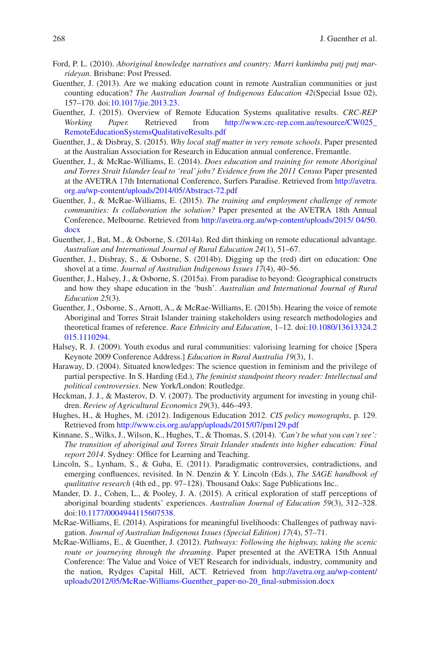- <span id="page-18-8"></span>Ford, P. L. (2010). *Aboriginal knowledge narratives and country: Marri kunkimba putj putj marrideyan*. Brisbane: Post Pressed.
- <span id="page-18-13"></span>Guenther, J. (2013). Are we making education count in remote Australian communities or just counting education? *The Australian Journal of Indigenous Education 42*(Special Issue 02), 157–170. doi[:10.1017/jie.2013.23](http://dx.doi.org/10.1017/jie.2013.23).
- <span id="page-18-2"></span>Guenther, J. (2015). Overview of Remote Education Systems qualitative results. *CRC-REP Working Paper.* Retrieved from [http://www.crc-rep.com.au/resource/CW025\\_](http://www.crc-rep.com.au/resource/CW025_RemoteEducationSystemsQualitativeResults.pdf) [RemoteEducationSystemsQualitativeResults.pdf](http://www.crc-rep.com.au/resource/CW025_RemoteEducationSystemsQualitativeResults.pdf)
- <span id="page-18-16"></span>Guenther, J., & Disbray, S. (2015). *Why local staff matter in very remote schools*. Paper presented at the Australian Association for Research in Education annual conference, Fremantle.
- <span id="page-18-5"></span>Guenther, J., & McRae-Williams, E. (2014). *Does education and training for remote Aboriginal and Torres Strait Islander lead to 'real' jobs? Evidence from the 2011 Census* Paper presented at the AVETRA 17th International Conference, Surfers Paradise. Retrieved from [http://avetra.](http://avetra.org.au/wp-content/uploads/2014/05/Abstract-72.pdf) [org.au/wp-content/uploads/2014/05/Abstract-72.pdf](http://avetra.org.au/wp-content/uploads/2014/05/Abstract-72.pdf)
- <span id="page-18-15"></span>Guenther, J., & McRae-Williams, E. (2015). *The training and employment challenge of remote communities: Is collaboration the solution?* Paper presented at the AVETRA 18th Annual Conference, Melbourne. Retrieved from [http://avetra.org.au/wp-content/uploads/2015/ 04/50.](http://avetra.org.au/wp-content/uploads/2015/ 04/50.docx) [docx](http://avetra.org.au/wp-content/uploads/2015/ 04/50.docx)
- <span id="page-18-0"></span>Guenther, J., Bat, M., & Osborne, S. (2014a). Red dirt thinking on remote educational advantage. *Australian and International Journal of Rural Education 24*(1), 51–67.
- <span id="page-18-4"></span>Guenther, J., Disbray, S., & Osborne, S. (2014b). Digging up the (red) dirt on education: One shovel at a time. *Journal of Australian Indigenous Issues 17*(4), 40–56.
- <span id="page-18-1"></span>Guenther, J., Halsey, J., & Osborne, S. (2015a). From paradise to beyond: Geographical constructs and how they shape education in the 'bush'. *Australian and International Journal of Rural Education 25*(3).
- <span id="page-18-12"></span>Guenther, J., Osborne, S., Arnott, A., & McRae-Williams, E. (2015b). Hearing the voice of remote Aboriginal and Torres Strait Islander training stakeholders using research methodologies and theoretical frames of reference. *Race Ethnicity and Education*, 1–12. doi[:10.1080/13613324.2](http://dx.doi.org/10.1080/13613324.2015.1110294) [015.1110294](http://dx.doi.org/10.1080/13613324.2015.1110294).
- <span id="page-18-18"></span>Halsey, R. J. (2009). Youth exodus and rural communities: valorising learning for choice [Spera Keynote 2009 Conference Address.] *Education in Rural Australia 19*(3), 1.
- <span id="page-18-17"></span>Haraway, D. (2004). Situated knowledges: The science question in feminism and the privilege of partial perspective. In S. Harding (Ed.), *The feminist standpoint theory reader: Intellectual and political controversies*. New York/London: Routledge.
- <span id="page-18-14"></span>Heckman, J. J., & Masterov, D. V. (2007). The productivity argument for investing in young children. *Review of Agricultural Economics 29*(3), 446–493.
- <span id="page-18-3"></span>Hughes, H., & Hughes, M. (2012). Indigenous Education 2012. *CIS policy monographs*, p. 129. Retrieved from<http://www.cis.org.au/app/uploads/2015/07/pm129.pdf>
- <span id="page-18-9"></span>Kinnane, S., Wilks, J., Wilson, K., Hughes, T., & Thomas, S. (2014). *'Can't be what you can't see': The transition of aboriginal and Torres Strait Islander students into higher education: Final report 2014*. Sydney: Office for Learning and Teaching.
- <span id="page-18-11"></span>Lincoln, S., Lynham, S., & Guba, E. (2011). Paradigmatic controversies, contradictions, and emerging confluences, revisited. In N. Denzin & Y. Lincoln (Eds.), *The SAGE handbook of qualitative research* (4th ed., pp. 97–128). Thousand Oaks: Sage Publications Inc..
- <span id="page-18-10"></span>Mander, D. J., Cohen, L., & Pooley, J. A. (2015). A critical exploration of staff perceptions of aboriginal boarding students' experiences. *Australian Journal of Education 59*(3), 312–328. doi[:10.1177/0004944115607538](http://dx.doi.org/10.1177/0004944115607538).
- <span id="page-18-7"></span>McRae-Williams, E. (2014). Aspirations for meaningful livelihoods: Challenges of pathway navigation. *Journal of Australian Indigenous Issues (Special Edition) 17*(4), 57–71.
- <span id="page-18-6"></span>McRae-Williams, E., & Guenther, J. (2012). *Pathways: Following the highway, taking the scenic route or journeying through the dreaming*. Paper presented at the AVETRA 15th Annual Conference: The Value and Voice of VET Research for individuals, industry, community and the nation, Rydges Capital Hill, ACT. Retrieved from [http://avetra.org.au/wp-content/](http://avetra.org.au/wp-content/uploads/2012/05/McRae-Williams-Guenther_paper-no-20_final-submission.docx) [uploads/2012/05/McRae-Williams-Guenther\\_paper-no-20\\_final-submission.docx](http://avetra.org.au/wp-content/uploads/2012/05/McRae-Williams-Guenther_paper-no-20_final-submission.docx)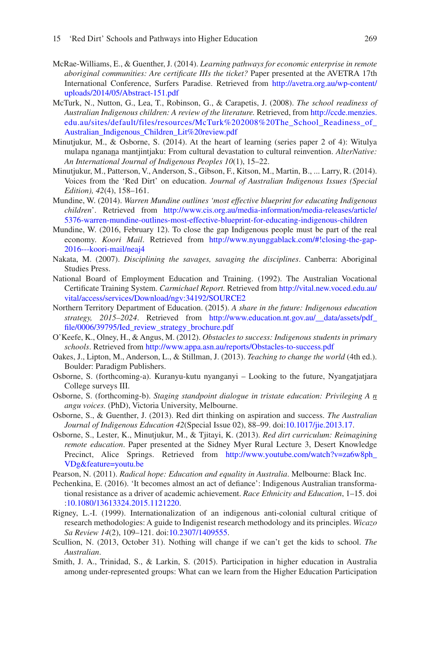- <span id="page-19-11"></span>McRae-Williams, E., & Guenther, J. (2014). *Learning pathways for economic enterprise in remote aboriginal communities: Are certificate IIIs the ticket?* Paper presented at the AVETRA 17th International Conference, Surfers Paradise. Retrieved from [http://avetra.org.au/wp-content/](http://avetra.org.au/wp-content/uploads/2014/05/Abstract-151.pdf) [uploads/2014/05/Abstract-151.pdf](http://avetra.org.au/wp-content/uploads/2014/05/Abstract-151.pdf)
- <span id="page-19-1"></span>McTurk, N., Nutton, G., Lea, T., Robinson, G., & Carapetis, J. (2008). *The school readiness of Australian Indigenous children: A review of the literature.* Retrieved, from [http://ccde.menzies.](http://ccde.menzies.edu.au/sites/default/files/resources/McTurk 2008 The_School_Readiness_of_Australian_Indigenous_Children_Lit review.pdf) [edu.au/sites/default/files/resources/McTurk%202008%20The\\_School\\_Readiness\\_of\\_](http://ccde.menzies.edu.au/sites/default/files/resources/McTurk 2008 The_School_Readiness_of_Australian_Indigenous_Children_Lit review.pdf) [Australian\\_Indigenous\\_Children\\_Lit%20review.pdf](http://ccde.menzies.edu.au/sites/default/files/resources/McTurk 2008 The_School_Readiness_of_Australian_Indigenous_Children_Lit review.pdf)
- <span id="page-19-16"></span>Minutjukur, M., & Osborne, S. (2014). At the heart of learning (series paper 2 of 4): Witulya mulapa nganana mantjintjaku: From cultural devastation to cultural reinvention. *AlterNative: An International Journal of Indigenous Peoples 10*(1), 15–22.
- <span id="page-19-18"></span>Minutjukur, M., Patterson, V., Anderson, S., Gibson, F., Kitson, M., Martin, B., ... Larry, R. (2014). Voices from the 'Red Dirt' on education. *Journal of Australian Indigenous Issues (Special Edition), 42*(4), 158–161.
- <span id="page-19-9"></span>Mundine, W. (2014). *Warren Mundine outlines 'most effective blueprint for educating Indigenous children*'. Retrieved from [http://www.cis.org.au/media-information/media-releases/article/](http://www.cis.org.au/media-information/media-releases/article/5376-warren-mundine-outlines-most-effective-blueprint-for-educating-indigenous-children)  [5376-warren-mundine-outlines-most-effective-blueprint-for-educating-indigenous-children](http://www.cis.org.au/media-information/media-releases/article/5376-warren-mundine-outlines-most-effective-blueprint-for-educating-indigenous-children)
- <span id="page-19-3"></span>Mundine, W. (2016, February 12). To close the gap Indigenous people must be part of the real economy. *Koori Mail*. Retrieved from [http://www.nyunggablack.com/#!closing-the-gap-](http://www.nyunggablack.com/#!closing-the-gap-2016---koori-mail/neaj4)[2016---koori-mail/neaj4](http://www.nyunggablack.com/#!closing-the-gap-2016---koori-mail/neaj4)
- <span id="page-19-12"></span>Nakata, M. (2007). *Disciplining the savages, savaging the disciplines*. Canberra: Aboriginal Studies Press.
- <span id="page-19-10"></span>National Board of Employment Education and Training. (1992). The Australian Vocational Certificate Training System. *Carmichael Report.* Retrieved from [http://vital.new.voced.edu.au/](http://vital.new.voced.edu.au/vital/access/services/Download/ngv:34192/SOURCE2) [vital/access/services/Download/ngv:34192/SOURCE2](http://vital.new.voced.edu.au/vital/access/services/Download/ngv:34192/SOURCE2)
- <span id="page-19-19"></span>Northern Territory Department of Education. (2015). *A share in the future: Indigenous education strategy, 2015–2024*. Retrieved from [http://www.education.nt.gov.au/\\_\\_data/assets/pdf\\_](http://www.education.nt.gov.au/__data/assets/pdf_file/0006/39795/Ied_review_strategy_brochure.pdf) [file/0006/39795/Ied\\_review\\_strategy\\_brochure.pdf](http://www.education.nt.gov.au/__data/assets/pdf_file/0006/39795/Ied_review_strategy_brochure.pdf)
- <span id="page-19-0"></span>O'Keefe, K., Olney, H., & Angus, M. (2012). *Obstacles to success: Indigenous students in primary schools*. Retrieved from <http://www.appa.asn.au/reports/Obstacles-to-success.pdf>
- <span id="page-19-5"></span>Oakes, J., Lipton, M., Anderson, L., & Stillman, J. (2013). *Teaching to change the world* (4th ed.). Boulder: Paradigm Publishers.
- <span id="page-19-15"></span>Osborne, S. (forthcoming-a). Kuranyu-kutu nyanganyi – Looking to the future, Nyangatjatjara College surveys III.
- <span id="page-19-17"></span>Osborne, S. (forthcoming-b). *Staging standpoint dialogue in tristate education: Privileging A n angu voices.* (PhD), Victoria University, Melbourne.
- <span id="page-19-7"></span>Osborne, S., & Guenther, J. (2013). Red dirt thinking on aspiration and success. *The Australian Journal of Indigenous Education 42*(Special Issue 02), 88–99. doi[:10.1017/jie.2013.17](http://dx.doi.org/10.1017/jie.2013.17).
- <span id="page-19-14"></span>Osborne, S., Lester, K., Minutjukur, M., & Tjitayi, K. (2013). *Red dirt curriculum: Reimagining remote education*. Paper presented at the Sidney Myer Rural Lecture 3, Desert Knowledge Precinct, Alice Springs. Retrieved from [http://www.youtube.com/watch?v=za6w8ph\\_](http://www.youtube.com/watch?v=za6w8ph_VDg&feature=youtu.be) [VDg&feature=youtu.be](http://www.youtube.com/watch?v=za6w8ph_VDg&feature=youtu.be)
- <span id="page-19-4"></span>Pearson, N. (2011). *Radical hope: Education and equality in Australia*. Melbourne: Black Inc.
- <span id="page-19-6"></span>Pechenkina, E. (2016). 'It becomes almost an act of defiance': Indigenous Australian transformational resistance as a driver of academic achievement. *Race Ethnicity and Education*, 1–15. doi [:10.1080/13613324.2015.1121220](http://dx.doi.org/10.1080/13613324.2015.1121220).
- <span id="page-19-13"></span>Rigney, L.-I. (1999). Internationalization of an indigenous anti-colonial cultural critique of research methodologies: A guide to Indigenist research methodology and its principles. *Wicazo Sa Review 14*(2), 109–121. doi:[10.2307/1409555.](http://dx.doi.org/10.2307/1409555)
- <span id="page-19-8"></span>Scullion, N. (2013, October 31). Nothing will change if we can't get the kids to school. *The Australian*.
- <span id="page-19-2"></span>Smith, J. A., Trinidad, S., & Larkin, S. (2015). Participation in higher education in Australia among under-represented groups: What can we learn from the Higher Education Participation